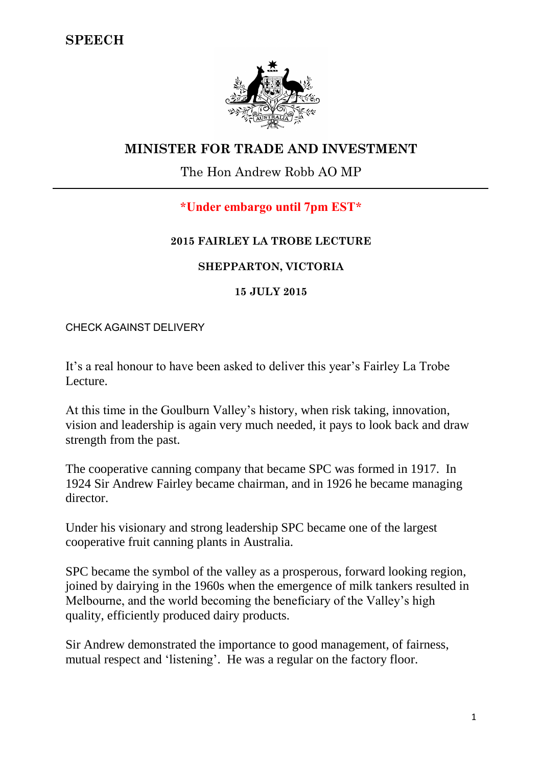

# **MINISTER FOR TRADE AND INVESTMENT**

## The Hon Andrew Robb AO MP

## **\*Under embargo until 7pm EST\***

#### **2015 FAIRLEY LA TROBE LECTURE**

## **SHEPPARTON, VICTORIA**

#### **15 JULY 2015**

CHECK AGAINST DELIVERY

It's a real honour to have been asked to deliver this year's Fairley La Trobe Lecture.

At this time in the Goulburn Valley's history, when risk taking, innovation, vision and leadership is again very much needed, it pays to look back and draw strength from the past.

The cooperative canning company that became SPC was formed in 1917. In 1924 Sir Andrew Fairley became chairman, and in 1926 he became managing director.

Under his visionary and strong leadership SPC became one of the largest cooperative fruit canning plants in Australia.

SPC became the symbol of the valley as a prosperous, forward looking region, joined by dairying in the 1960s when the emergence of milk tankers resulted in Melbourne, and the world becoming the beneficiary of the Valley's high quality, efficiently produced dairy products.

Sir Andrew demonstrated the importance to good management, of fairness, mutual respect and 'listening'. He was a regular on the factory floor.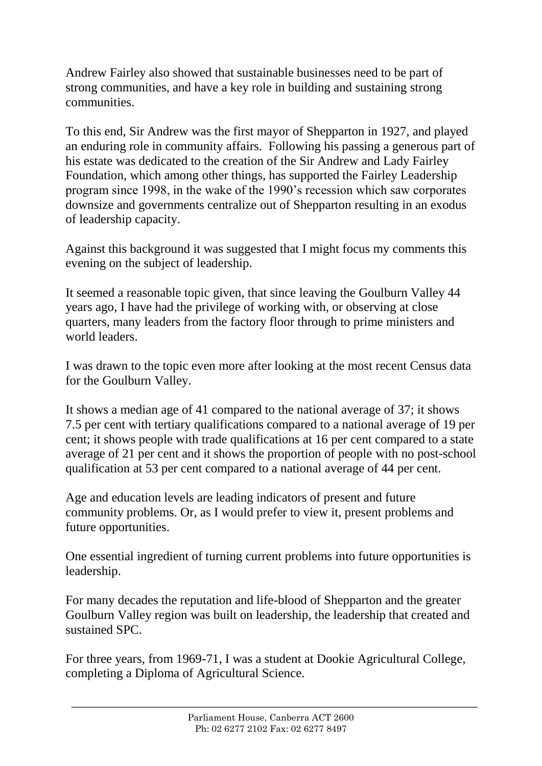Andrew Fairley also showed that sustainable businesses need to be part of strong communities, and have a key role in building and sustaining strong communities.

To this end, Sir Andrew was the first mayor of Shepparton in 1927, and played an enduring role in community affairs. Following his passing a generous part of his estate was dedicated to the creation of the Sir Andrew and Lady Fairley Foundation, which among other things, has supported the Fairley Leadership program since 1998, in the wake of the 1990's recession which saw corporates downsize and governments centralize out of Shepparton resulting in an exodus of leadership capacity.

Against this background it was suggested that I might focus my comments this evening on the subject of leadership.

It seemed a reasonable topic given, that since leaving the Goulburn Valley 44 years ago, I have had the privilege of working with, or observing at close quarters, many leaders from the factory floor through to prime ministers and world leaders.

I was drawn to the topic even more after looking at the most recent Census data for the Goulburn Valley.

It shows a median age of 41 compared to the national average of 37; it shows 7.5 per cent with tertiary qualifications compared to a national average of 19 per cent; it shows people with trade qualifications at 16 per cent compared to a state average of 21 per cent and it shows the proportion of people with no post-school qualification at 53 per cent compared to a national average of 44 per cent.

Age and education levels are leading indicators of present and future community problems. Or, as I would prefer to view it, present problems and future opportunities.

One essential ingredient of turning current problems into future opportunities is leadership.

For many decades the reputation and life-blood of Shepparton and the greater Goulburn Valley region was built on leadership, the leadership that created and sustained SPC.

For three years, from 1969-71, I was a student at Dookie Agricultural College, completing a Diploma of Agricultural Science.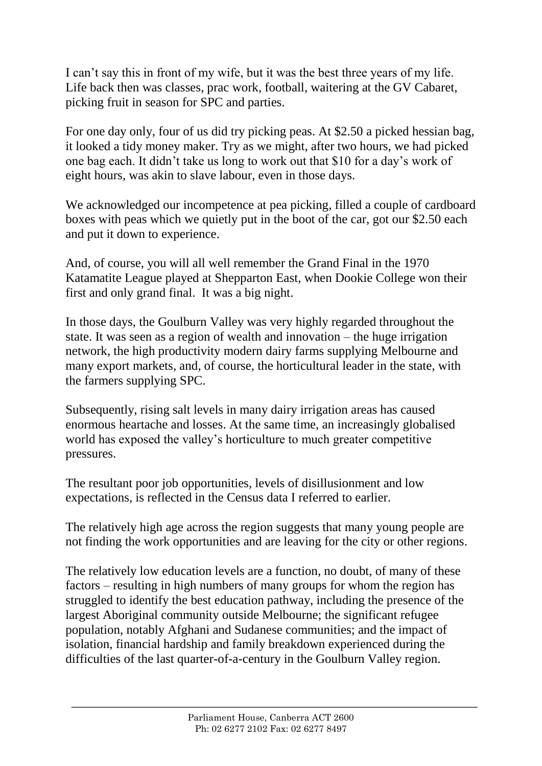I can't say this in front of my wife, but it was the best three years of my life. Life back then was classes, prac work, football, waitering at the GV Cabaret, picking fruit in season for SPC and parties.

For one day only, four of us did try picking peas. At \$2.50 a picked hessian bag, it looked a tidy money maker. Try as we might, after two hours, we had picked one bag each. It didn't take us long to work out that \$10 for a day's work of eight hours, was akin to slave labour, even in those days.

We acknowledged our incompetence at pea picking, filled a couple of cardboard boxes with peas which we quietly put in the boot of the car, got our \$2.50 each and put it down to experience.

And, of course, you will all well remember the Grand Final in the 1970 Katamatite League played at Shepparton East, when Dookie College won their first and only grand final. It was a big night.

In those days, the Goulburn Valley was very highly regarded throughout the state. It was seen as a region of wealth and innovation – the huge irrigation network, the high productivity modern dairy farms supplying Melbourne and many export markets, and, of course, the horticultural leader in the state, with the farmers supplying SPC.

Subsequently, rising salt levels in many dairy irrigation areas has caused enormous heartache and losses. At the same time, an increasingly globalised world has exposed the valley's horticulture to much greater competitive pressures.

The resultant poor job opportunities, levels of disillusionment and low expectations, is reflected in the Census data I referred to earlier.

The relatively high age across the region suggests that many young people are not finding the work opportunities and are leaving for the city or other regions.

The relatively low education levels are a function, no doubt, of many of these factors – resulting in high numbers of many groups for whom the region has struggled to identify the best education pathway, including the presence of the largest Aboriginal community outside Melbourne; the significant refugee population, notably Afghani and Sudanese communities; and the impact of isolation, financial hardship and family breakdown experienced during the difficulties of the last quarter-of-a-century in the Goulburn Valley region.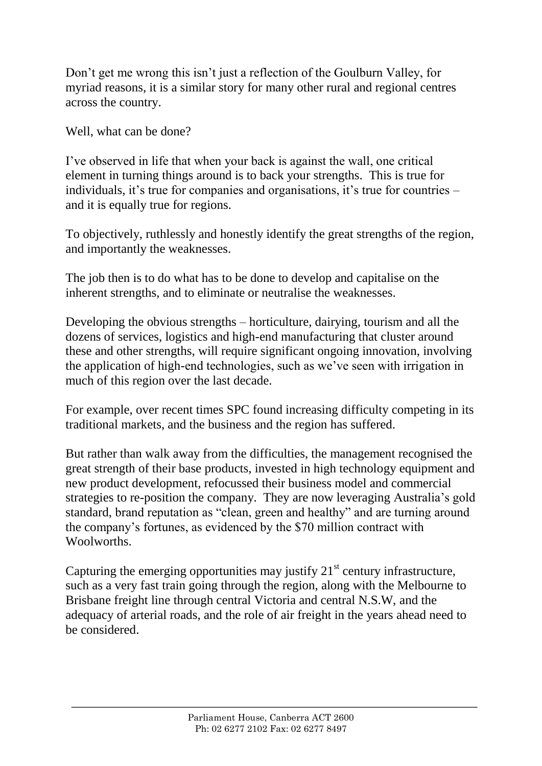Don't get me wrong this isn't just a reflection of the Goulburn Valley, for myriad reasons, it is a similar story for many other rural and regional centres across the country.

Well, what can be done?

I've observed in life that when your back is against the wall, one critical element in turning things around is to back your strengths. This is true for individuals, it's true for companies and organisations, it's true for countries – and it is equally true for regions.

To objectively, ruthlessly and honestly identify the great strengths of the region, and importantly the weaknesses.

The job then is to do what has to be done to develop and capitalise on the inherent strengths, and to eliminate or neutralise the weaknesses.

Developing the obvious strengths – horticulture, dairying, tourism and all the dozens of services, logistics and high-end manufacturing that cluster around these and other strengths, will require significant ongoing innovation, involving the application of high-end technologies, such as we've seen with irrigation in much of this region over the last decade.

For example, over recent times SPC found increasing difficulty competing in its traditional markets, and the business and the region has suffered.

But rather than walk away from the difficulties, the management recognised the great strength of their base products, invested in high technology equipment and new product development, refocussed their business model and commercial strategies to re-position the company. They are now leveraging Australia's gold standard, brand reputation as "clean, green and healthy" and are turning around the company's fortunes, as evidenced by the \$70 million contract with Woolworths.

Capturing the emerging opportunities may justify  $21<sup>st</sup>$  century infrastructure, such as a very fast train going through the region, along with the Melbourne to Brisbane freight line through central Victoria and central N.S.W, and the adequacy of arterial roads, and the role of air freight in the years ahead need to be considered.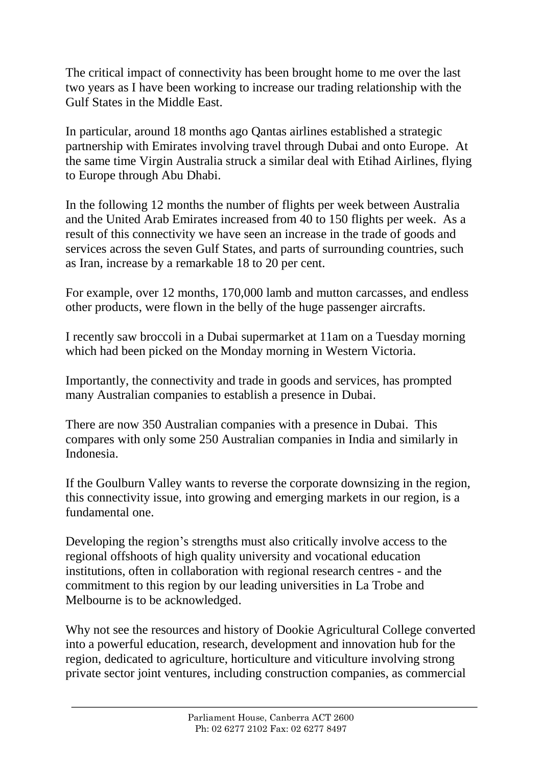The critical impact of connectivity has been brought home to me over the last two years as I have been working to increase our trading relationship with the Gulf States in the Middle East.

In particular, around 18 months ago Qantas airlines established a strategic partnership with Emirates involving travel through Dubai and onto Europe. At the same time Virgin Australia struck a similar deal with Etihad Airlines, flying to Europe through Abu Dhabi.

In the following 12 months the number of flights per week between Australia and the United Arab Emirates increased from 40 to 150 flights per week. As a result of this connectivity we have seen an increase in the trade of goods and services across the seven Gulf States, and parts of surrounding countries, such as Iran, increase by a remarkable 18 to 20 per cent.

For example, over 12 months, 170,000 lamb and mutton carcasses, and endless other products, were flown in the belly of the huge passenger aircrafts.

I recently saw broccoli in a Dubai supermarket at 11am on a Tuesday morning which had been picked on the Monday morning in Western Victoria.

Importantly, the connectivity and trade in goods and services, has prompted many Australian companies to establish a presence in Dubai.

There are now 350 Australian companies with a presence in Dubai. This compares with only some 250 Australian companies in India and similarly in Indonesia.

If the Goulburn Valley wants to reverse the corporate downsizing in the region, this connectivity issue, into growing and emerging markets in our region, is a fundamental one.

Developing the region's strengths must also critically involve access to the regional offshoots of high quality university and vocational education institutions, often in collaboration with regional research centres - and the commitment to this region by our leading universities in La Trobe and Melbourne is to be acknowledged.

Why not see the resources and history of Dookie Agricultural College converted into a powerful education, research, development and innovation hub for the region, dedicated to agriculture, horticulture and viticulture involving strong private sector joint ventures, including construction companies, as commercial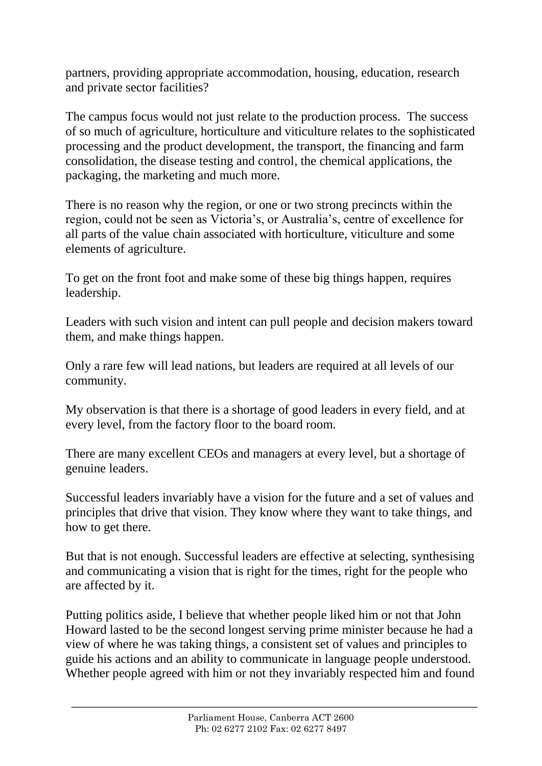partners, providing appropriate accommodation, housing, education, research and private sector facilities?

The campus focus would not just relate to the production process. The success of so much of agriculture, horticulture and viticulture relates to the sophisticated processing and the product development, the transport, the financing and farm consolidation, the disease testing and control, the chemical applications, the packaging, the marketing and much more.

There is no reason why the region, or one or two strong precincts within the region, could not be seen as Victoria's, or Australia's, centre of excellence for all parts of the value chain associated with horticulture, viticulture and some elements of agriculture.

To get on the front foot and make some of these big things happen, requires leadership.

Leaders with such vision and intent can pull people and decision makers toward them, and make things happen.

Only a rare few will lead nations, but leaders are required at all levels of our community.

My observation is that there is a shortage of good leaders in every field, and at every level, from the factory floor to the board room.

There are many excellent CEOs and managers at every level, but a shortage of genuine leaders.

Successful leaders invariably have a vision for the future and a set of values and principles that drive that vision. They know where they want to take things, and how to get there.

But that is not enough. Successful leaders are effective at selecting, synthesising and communicating a vision that is right for the times, right for the people who are affected by it.

Putting politics aside, I believe that whether people liked him or not that John Howard lasted to be the second longest serving prime minister because he had a view of where he was taking things, a consistent set of values and principles to guide his actions and an ability to communicate in language people understood. Whether people agreed with him or not they invariably respected him and found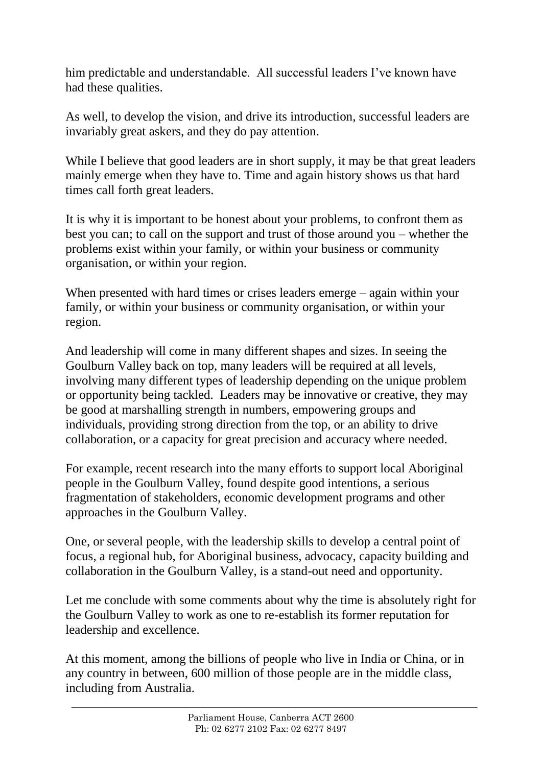him predictable and understandable. All successful leaders I've known have had these qualities.

As well, to develop the vision, and drive its introduction, successful leaders are invariably great askers, and they do pay attention.

While I believe that good leaders are in short supply, it may be that great leaders mainly emerge when they have to. Time and again history shows us that hard times call forth great leaders.

It is why it is important to be honest about your problems, to confront them as best you can; to call on the support and trust of those around you – whether the problems exist within your family, or within your business or community organisation, or within your region.

When presented with hard times or crises leaders emerge – again within your family, or within your business or community organisation, or within your region.

And leadership will come in many different shapes and sizes. In seeing the Goulburn Valley back on top, many leaders will be required at all levels, involving many different types of leadership depending on the unique problem or opportunity being tackled. Leaders may be innovative or creative, they may be good at marshalling strength in numbers, empowering groups and individuals, providing strong direction from the top, or an ability to drive collaboration, or a capacity for great precision and accuracy where needed.

For example, recent research into the many efforts to support local Aboriginal people in the Goulburn Valley, found despite good intentions, a serious fragmentation of stakeholders, economic development programs and other approaches in the Goulburn Valley.

One, or several people, with the leadership skills to develop a central point of focus, a regional hub, for Aboriginal business, advocacy, capacity building and collaboration in the Goulburn Valley, is a stand-out need and opportunity.

Let me conclude with some comments about why the time is absolutely right for the Goulburn Valley to work as one to re-establish its former reputation for leadership and excellence.

At this moment, among the billions of people who live in India or China, or in any country in between, 600 million of those people are in the middle class, including from Australia.